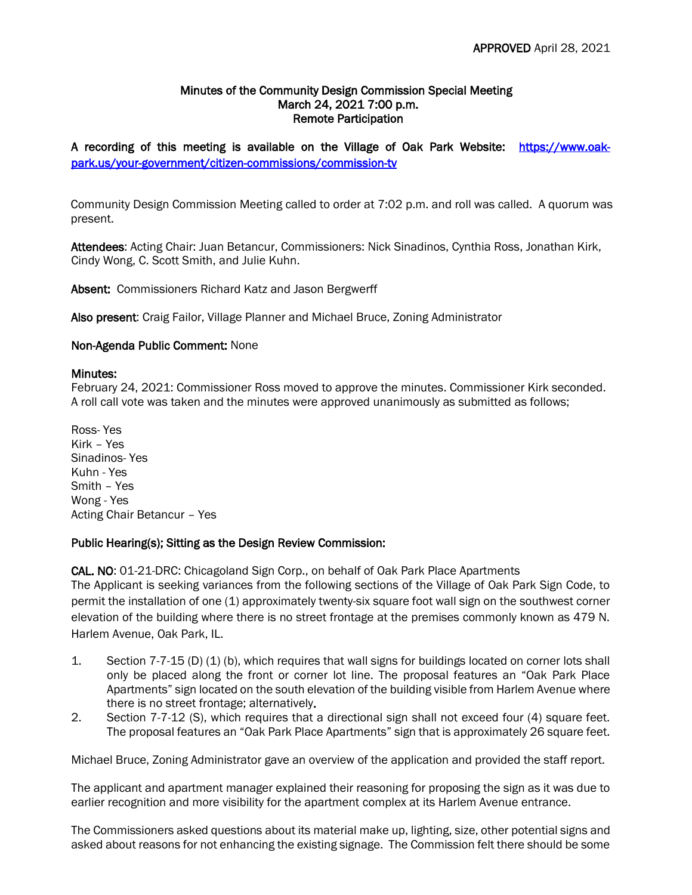### Minutes of the Community Design Commission Special Meeting March 24, 2021 7:00 p.m. Remote Participation

A recording of this meeting is available on the Village of Oak Park Website: [https://www.oak](https://www.oak-park.us/your-government/citizen-commissions/commission-tv)[park.us/your-government/citizen-commissions/commission-tv](https://www.oak-park.us/your-government/citizen-commissions/commission-tv) 

Community Design Commission Meeting called to order at 7:02 p.m. and roll was called. A quorum was present.

Attendees: Acting Chair: Juan Betancur, Commissioners: Nick Sinadinos, Cynthia Ross, Jonathan Kirk, Cindy Wong, C. Scott Smith, and Julie Kuhn.

Absent: Commissioners Richard Katz and Jason Bergwerff

Also present: Craig Failor, Village Planner and Michael Bruce, Zoning Administrator

# Non-Agenda Public Comment: None

#### Minutes:

February 24, 2021: Commissioner Ross moved to approve the minutes. Commissioner Kirk seconded. A roll call vote was taken and the minutes were approved unanimously as submitted as follows;

Ross- Yes Kirk – Yes Sinadinos- Yes Kuhn - Yes Smith – Yes Wong - Yes Acting Chair Betancur – Yes

# Public Hearing(s); Sitting as the Design Review Commission:

CAL. NO: 01-21-DRC: Chicagoland Sign Corp., on behalf of Oak Park Place Apartments The Applicant is seeking variances from the following sections of the Village of Oak Park Sign Code, to permit the installation of one (1) approximately twenty-six square foot wall sign on the southwest corner elevation of the building where there is no street frontage at the premises commonly known as 479 N. Harlem Avenue, Oak Park, IL.

- 1. Section 7-7-15 (D) (1) (b), which requires that wall signs for buildings located on corner lots shall only be placed along the front or corner lot line. The proposal features an "Oak Park Place Apartments" sign located on the south elevation of the building visible from Harlem Avenue where there is no street frontage; alternatively.
- 2. Section 7-7-12 (S), which requires that a directional sign shall not exceed four (4) square feet. The proposal features an "Oak Park Place Apartments" sign that is approximately 26 square feet.

Michael Bruce, Zoning Administrator gave an overview of the application and provided the staff report.

The applicant and apartment manager explained their reasoning for proposing the sign as it was due to earlier recognition and more visibility for the apartment complex at its Harlem Avenue entrance.

The Commissioners asked questions about its material make up, lighting, size, other potential signs and asked about reasons for not enhancing the existing signage. The Commission felt there should be some